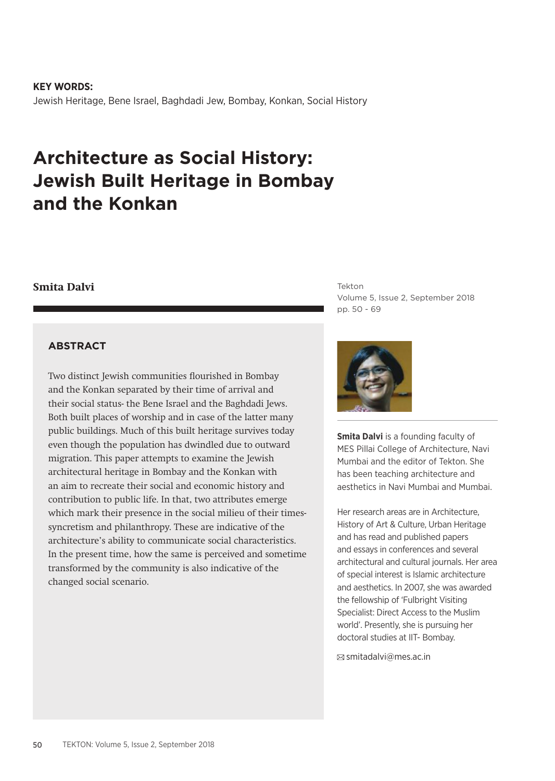**KEY WORDS:** Jewish Heritage, Bene Israel, Baghdadi Jew, Bombay, Konkan, Social History

# **Architecture as Social History: Jewish Built Heritage in Bombay and the Konkan**

## **Smita Dalvi**

**ABSTRACT**

Two distinct Jewish communities flourished in Bombay and the Konkan separated by their time of arrival and their social status- the Bene Israel and the Baghdadi Jews. Both built places of worship and in case of the latter many public buildings. Much of this built heritage survives today even though the population has dwindled due to outward migration. This paper attempts to examine the Jewish architectural heritage in Bombay and the Konkan with an aim to recreate their social and economic history and contribution to public life. In that, two attributes emerge which mark their presence in the social milieu of their timessyncretism and philanthropy. These are indicative of the architecture's ability to communicate social characteristics. In the present time, how the same is perceived and sometime transformed by the community is also indicative of the changed social scenario.

Tekton Volume 5, Issue 2, September 2018 pp. 50 - 69



**Smita Dalvi** is a founding faculty of MES Pillai College of Architecture, Navi Mumbai and the editor of Tekton. She has been teaching architecture and aesthetics in Navi Mumbai and Mumbai.

Her research areas are in Architecture, History of Art & Culture, Urban Heritage and has read and published papers and essays in conferences and several architectural and cultural journals. Her area of special interest is Islamic architecture and aesthetics. In 2007, she was awarded the fellowship of 'Fulbright Visiting Specialist: Direct Access to the Muslim world'. Presently, she is pursuing her doctoral studies at IIT- Bombay.

smitadalvi@mes.ac.in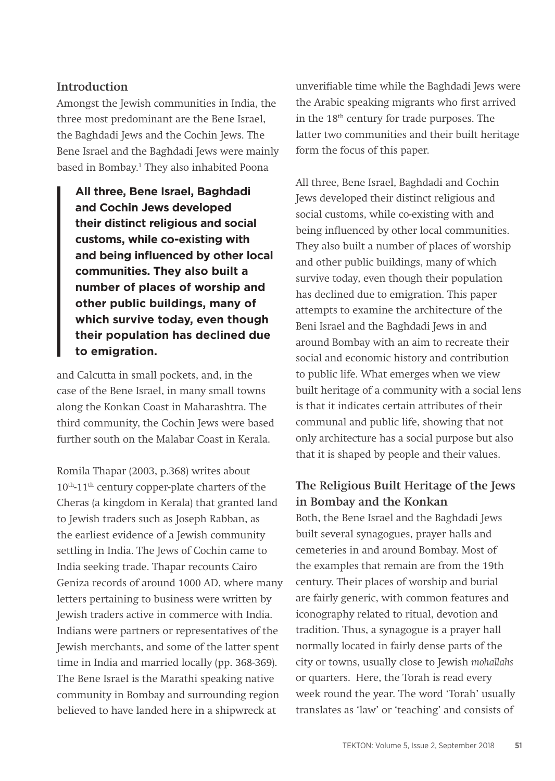#### **Introduction**

Amongst the Jewish communities in India, the three most predominant are the Bene Israel, the Baghdadi Jews and the Cochin Jews. The Bene Israel and the Baghdadi Jews were mainly based in Bombay.<sup>1</sup> They also inhabited Poona

**All three, Bene Israel, Baghdadi and Cochin Jews developed their distinct religious and social customs, while co-existing with and being influenced by other local communities. They also built a number of places of worship and other public buildings, many of which survive today, even though their population has declined due to emigration.** 

and Calcutta in small pockets, and, in the case of the Bene Israel, in many small towns along the Konkan Coast in Maharashtra. The third community, the Cochin Jews were based further south on the Malabar Coast in Kerala.

Romila Thapar (2003, p.368) writes about 10th-11th century copper-plate charters of the Cheras (a kingdom in Kerala) that granted land to Jewish traders such as Joseph Rabban, as the earliest evidence of a Jewish community settling in India. The Jews of Cochin came to India seeking trade. Thapar recounts Cairo Geniza records of around 1000 AD, where many letters pertaining to business were written by Jewish traders active in commerce with India. Indians were partners or representatives of the Jewish merchants, and some of the latter spent time in India and married locally (pp. 368-369). The Bene Israel is the Marathi speaking native community in Bombay and surrounding region believed to have landed here in a shipwreck at

unverifiable time while the Baghdadi Jews were the Arabic speaking migrants who first arrived in the 18th century for trade purposes. The latter two communities and their built heritage form the focus of this paper.

All three, Bene Israel, Baghdadi and Cochin Jews developed their distinct religious and social customs, while co-existing with and being influenced by other local communities. They also built a number of places of worship and other public buildings, many of which survive today, even though their population has declined due to emigration. This paper attempts to examine the architecture of the Beni Israel and the Baghdadi Jews in and around Bombay with an aim to recreate their social and economic history and contribution to public life. What emerges when we view built heritage of a community with a social lens is that it indicates certain attributes of their communal and public life, showing that not only architecture has a social purpose but also that it is shaped by people and their values.

# **The Religious Built Heritage of the Jews in Bombay and the Konkan**

Both, the Bene Israel and the Baghdadi Jews built several synagogues, prayer halls and cemeteries in and around Bombay. Most of the examples that remain are from the 19th century. Their places of worship and burial are fairly generic, with common features and iconography related to ritual, devotion and tradition. Thus, a synagogue is a prayer hall normally located in fairly dense parts of the city or towns, usually close to Jewish *mohallahs*  or quarters. Here, the Torah is read every week round the year. The word 'Torah' usually translates as 'law' or 'teaching' and consists of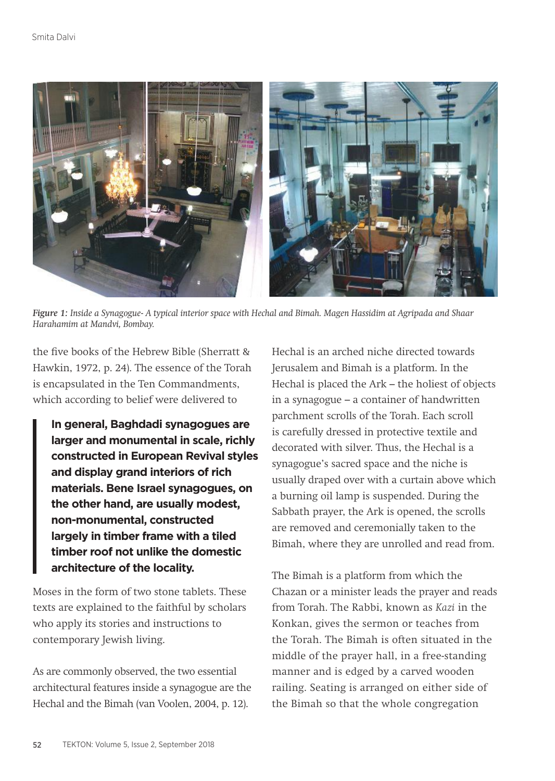

*Figure 1: Inside a Synagogue- A typical interior space with Hechal and Bimah. Magen Hassidim at Agripada and Shaar Harahamim at Mandvi, Bombay.*

the five books of the Hebrew Bible (Sherratt & Hawkin, 1972, p. 24). The essence of the Torah is encapsulated in the Ten Commandments, which according to belief were delivered to

**In general, Baghdadi synagogues are larger and monumental in scale, richly constructed in European Revival styles and display grand interiors of rich materials. Bene Israel synagogues, on the other hand, are usually modest, non-monumental, constructed largely in timber frame with a tiled timber roof not unlike the domestic architecture of the locality.**

Moses in the form of two stone tablets. These texts are explained to the faithful by scholars who apply its stories and instructions to contemporary Jewish living.

As are commonly observed, the two essential architectural features inside a synagogue are the Hechal and the Bimah (van Voolen, 2004, p. 12).

Hechal is an arched niche directed towards Jerusalem and Bimah is a platform. In the Hechal is placed the Ark – the holiest of objects in a synagogue – a container of handwritten parchment scrolls of the Torah. Each scroll is carefully dressed in protective textile and decorated with silver. Thus, the Hechal is a synagogue's sacred space and the niche is usually draped over with a curtain above which a burning oil lamp is suspended. During the Sabbath prayer, the Ark is opened, the scrolls are removed and ceremonially taken to the Bimah, where they are unrolled and read from.

The Bimah is a platform from which the Chazan or a minister leads the prayer and reads from Torah. The Rabbi, known as *Kazi* in the Konkan, gives the sermon or teaches from the Torah. The Bimah is often situated in the middle of the prayer hall, in a free-standing manner and is edged by a carved wooden railing. Seating is arranged on either side of the Bimah so that the whole congregation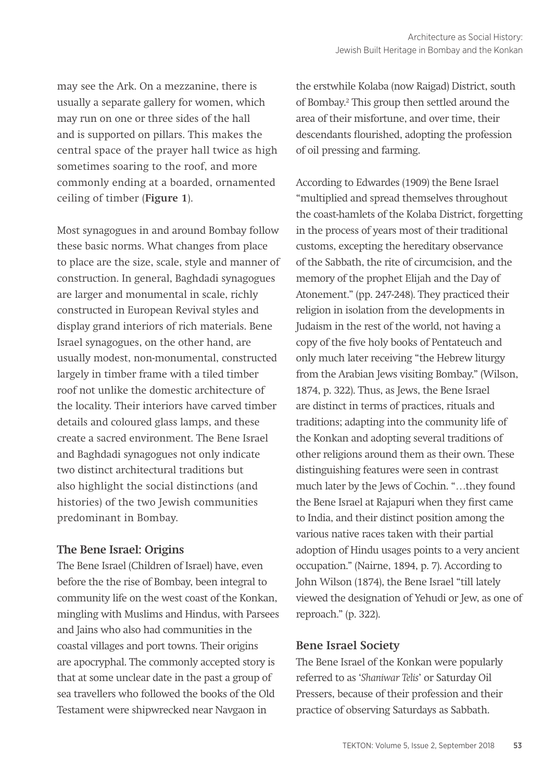may see the Ark. On a mezzanine, there is usually a separate gallery for women, which may run on one or three sides of the hall and is supported on pillars. This makes the central space of the prayer hall twice as high sometimes soaring to the roof, and more commonly ending at a boarded, ornamented ceiling of timber (**Figure 1**).

Most synagogues in and around Bombay follow these basic norms. What changes from place to place are the size, scale, style and manner of construction. In general, Baghdadi synagogues are larger and monumental in scale, richly constructed in European Revival styles and display grand interiors of rich materials. Bene Israel synagogues, on the other hand, are usually modest, non-monumental, constructed largely in timber frame with a tiled timber roof not unlike the domestic architecture of the locality. Their interiors have carved timber details and coloured glass lamps, and these create a sacred environment. The Bene Israel and Baghdadi synagogues not only indicate two distinct architectural traditions but also highlight the social distinctions (and histories) of the two Jewish communities predominant in Bombay.

# **The Bene Israel: Origins**

The Bene Israel (Children of Israel) have, even before the the rise of Bombay, been integral to community life on the west coast of the Konkan, mingling with Muslims and Hindus, with Parsees and Jains who also had communities in the coastal villages and port towns. Their origins are apocryphal. The commonly accepted story is that at some unclear date in the past a group of sea travellers who followed the books of the Old Testament were shipwrecked near Navgaon in

the erstwhile Kolaba (now Raigad) District, south of Bombay.2 This group then settled around the area of their misfortune, and over time, their descendants flourished, adopting the profession of oil pressing and farming.

According to Edwardes (1909) the Bene Israel "multiplied and spread themselves throughout the coast-hamlets of the Kolaba District, forgetting in the process of years most of their traditional customs, excepting the hereditary observance of the Sabbath, the rite of circumcision, and the memory of the prophet Elijah and the Day of Atonement." (pp. 247-248). They practiced their religion in isolation from the developments in Judaism in the rest of the world, not having a copy of the five holy books of Pentateuch and only much later receiving "the Hebrew liturgy from the Arabian Jews visiting Bombay." (Wilson, 1874, p. 322). Thus, as Jews, the Bene Israel are distinct in terms of practices, rituals and traditions; adapting into the community life of the Konkan and adopting several traditions of other religions around them as their own. These distinguishing features were seen in contrast much later by the Jews of Cochin. "…they found the Bene Israel at Rajapuri when they first came to India, and their distinct position among the various native races taken with their partial adoption of Hindu usages points to a very ancient occupation." (Nairne, 1894, p. 7). According to John Wilson (1874), the Bene Israel "till lately viewed the designation of Yehudi or Jew, as one of reproach." (p. 322).

# **Bene Israel Society**

The Bene Israel of the Konkan were popularly referred to as '*Shaniwar Telis*' or Saturday Oil Pressers, because of their profession and their practice of observing Saturdays as Sabbath.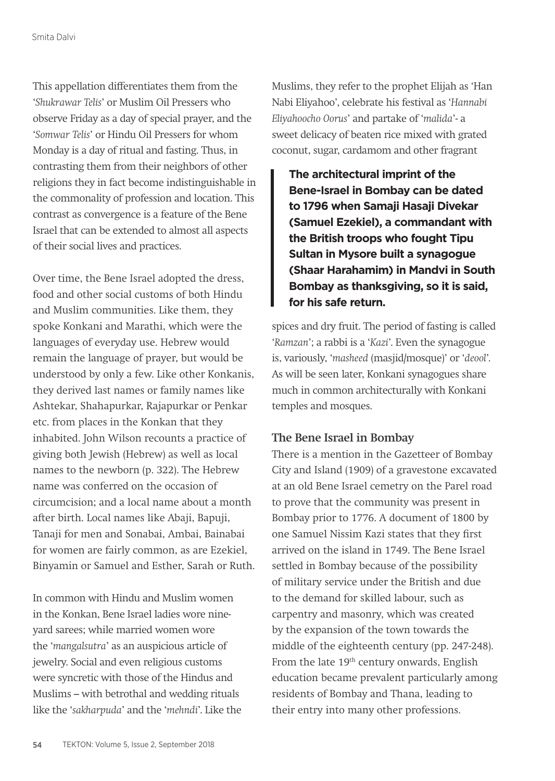This appellation differentiates them from the '*Shukrawar Telis*' or Muslim Oil Pressers who observe Friday as a day of special prayer, and the '*Somwar Telis*' or Hindu Oil Pressers for whom Monday is a day of ritual and fasting. Thus, in contrasting them from their neighbors of other religions they in fact become indistinguishable in the commonality of profession and location. This contrast as convergence is a feature of the Bene Israel that can be extended to almost all aspects of their social lives and practices.

Over time, the Bene Israel adopted the dress, food and other social customs of both Hindu and Muslim communities. Like them, they spoke Konkani and Marathi, which were the languages of everyday use. Hebrew would remain the language of prayer, but would be understood by only a few. Like other Konkanis, they derived last names or family names like Ashtekar, Shahapurkar, Rajapurkar or Penkar etc. from places in the Konkan that they inhabited. John Wilson recounts a practice of giving both Jewish (Hebrew) as well as local names to the newborn (p. 322). The Hebrew name was conferred on the occasion of circumcision; and a local name about a month after birth. Local names like Abaji, Bapuji, Tanaji for men and Sonabai, Ambai, Bainabai for women are fairly common, as are Ezekiel, Binyamin or Samuel and Esther, Sarah or Ruth.

In common with Hindu and Muslim women in the Konkan, Bene Israel ladies wore nineyard sarees; while married women wore the '*mangalsutra*' as an auspicious article of jewelry. Social and even religious customs were syncretic with those of the Hindus and Muslims – with betrothal and wedding rituals like the '*sakharpuda*' and the '*mehndi*'. Like the Muslims, they refer to the prophet Elijah as 'Han Nabi Eliyahoo', celebrate his festival as '*Hannabi Eliyahoocho Oorus*' and partake of '*malida*'- a sweet delicacy of beaten rice mixed with grated coconut, sugar, cardamom and other fragrant

**The architectural imprint of the Bene-Israel in Bombay can be dated to 1796 when Samaji Hasaji Divekar (Samuel Ezekiel), a commandant with the British troops who fought Tipu Sultan in Mysore built a synagogue (Shaar Harahamim) in Mandvi in South Bombay as thanksgiving, so it is said, for his safe return.** 

spices and dry fruit. The period of fasting is called '*Ramzan*'; a rabbi is a '*Kazi*'. Even the synagogue is, variously, '*masheed* (masjid/mosque)' or '*deool*'. As will be seen later, Konkani synagogues share much in common architecturally with Konkani temples and mosques.

#### **The Bene Israel in Bombay**

There is a mention in the Gazetteer of Bombay City and Island (1909) of a gravestone excavated at an old Bene Israel cemetry on the Parel road to prove that the community was present in Bombay prior to 1776. A document of 1800 by one Samuel Nissim Kazi states that they first arrived on the island in 1749. The Bene Israel settled in Bombay because of the possibility of military service under the British and due to the demand for skilled labour, such as carpentry and masonry, which was created by the expansion of the town towards the middle of the eighteenth century (pp. 247-248). From the late 19<sup>th</sup> century onwards, English education became prevalent particularly among residents of Bombay and Thana, leading to their entry into many other professions.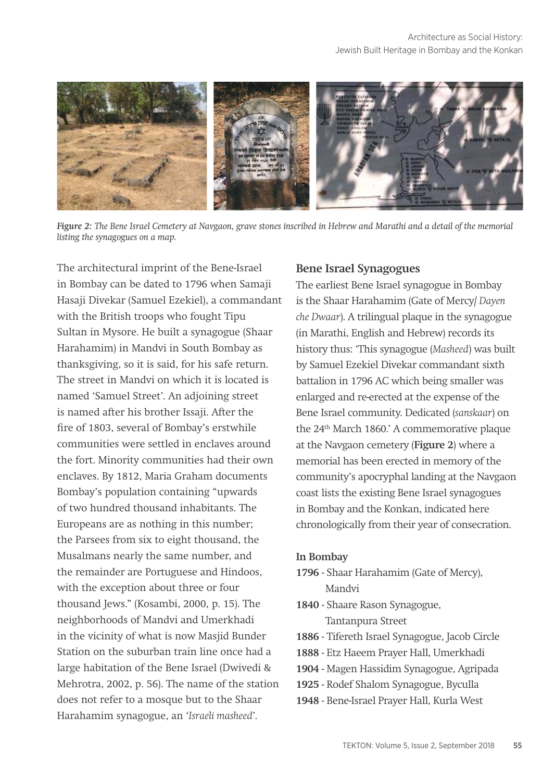

*Figure 2: The Bene Israel Cemetery at Navgaon, grave stones inscribed in Hebrew and Marathi and a detail of the memorial listing the synagogues on a map.*

The architectural imprint of the Bene-Israel in Bombay can be dated to 1796 when Samaji Hasaji Divekar (Samuel Ezekiel), a commandant with the British troops who fought Tipu Sultan in Mysore. He built a synagogue (Shaar Harahamim) in Mandvi in South Bombay as thanksgiving, so it is said, for his safe return. The street in Mandvi on which it is located is named 'Samuel Street'. An adjoining street is named after his brother Issaji. After the fire of 1803, several of Bombay's erstwhile communities were settled in enclaves around the fort. Minority communities had their own enclaves. By 1812, Maria Graham documents Bombay's population containing "upwards of two hundred thousand inhabitants. The Europeans are as nothing in this number; the Parsees from six to eight thousand, the Musalmans nearly the same number, and the remainder are Portuguese and Hindoos, with the exception about three or four thousand Jews." (Kosambi, 2000, p. 15). The neighborhoods of Mandvi and Umerkhadi in the vicinity of what is now Masjid Bunder Station on the suburban train line once had a large habitation of the Bene Israel (Dwivedi & Mehrotra, 2002, p. 56). The name of the station does not refer to a mosque but to the Shaar Harahamim synagogue, an '*Israeli masheed*'.

#### **Bene Israel Synagogues**

The earliest Bene Israel synagogue in Bombay is the Shaar Harahamim (Gate of Mercy/ *Dayen che Dwaar*). A trilingual plaque in the synagogue (in Marathi, English and Hebrew) records its history thus: 'This synagogue (*Masheed*) was built by Samuel Ezekiel Divekar commandant sixth battalion in 1796 AC which being smaller was enlarged and re-erected at the expense of the Bene Israel community. Dedicated (*sanskaar*) on the 24<sup>th</sup> March 1860.' A commemorative plaque at the Navgaon cemetery (**Figure 2**) where a memorial has been erected in memory of the community's apocryphal landing at the Navgaon coast lists the existing Bene Israel synagogues in Bombay and the Konkan, indicated here chronologically from their year of consecration.

#### **In Bombay**

- **1796** Shaar Harahamim (Gate of Mercy), Mandvi
- **1840** Shaare Rason Synagogue, Tantanpura Street
- **1886**  Tifereth Israel Synagogue, Jacob Circle
- **1888** Etz Haeem Prayer Hall, Umerkhadi
- **1904** Magen Hassidim Synagogue, Agripada
- **1925** Rodef Shalom Synagogue, Byculla
- **1948** Bene-Israel Prayer Hall, Kurla West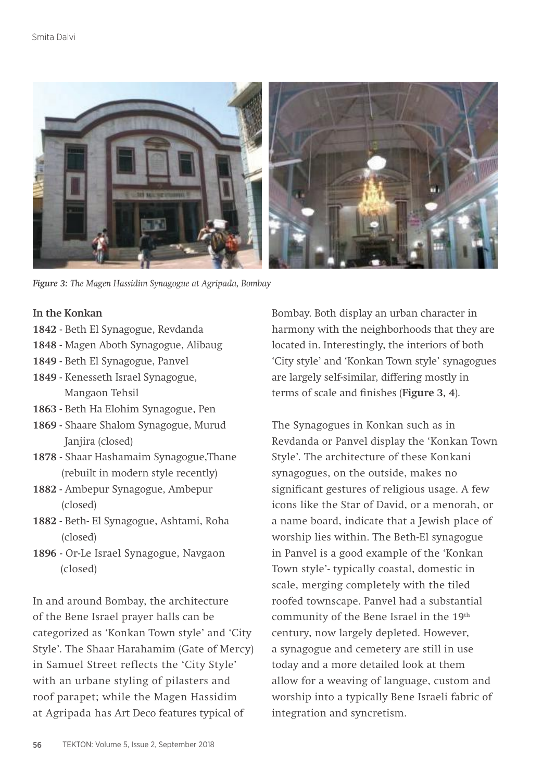

*Figure 3: The Magen Hassidim Synagogue at Agripada, Bombay*

#### **In the Konkan**

- **1842**  Beth El Synagogue, Revdanda
- **1848** Magen Aboth Synagogue, Alibaug
- **1849** Beth El Synagogue, Panvel
- **1849** Kenesseth Israel Synagogue, Mangaon Tehsil
- **1863** Beth Ha Elohim Synagogue, Pen
- **1869** Shaare Shalom Synagogue, Murud Janjira (closed)
- **1878**  Shaar Hashamaim Synagogue,Thane (rebuilt in modern style recently)
- **1882** Ambepur Synagogue, Ambepur (closed)
- **1882** Beth- El Synagogue, Ashtami, Roha (closed)
- **1896** Or-Le Israel Synagogue, Navgaon (closed)

In and around Bombay, the architecture of the Bene Israel prayer halls can be categorized as 'Konkan Town style' and 'City Style'. The Shaar Harahamim (Gate of Mercy) in Samuel Street reflects the 'City Style' with an urbane styling of pilasters and roof parapet; while the Magen Hassidim at Agripada has Art Deco features typical of

Bombay. Both display an urban character in harmony with the neighborhoods that they are located in. Interestingly, the interiors of both 'City style' and 'Konkan Town style' synagogues are largely self-similar, differing mostly in terms of scale and finishes (**Figure 3, 4**).

The Synagogues in Konkan such as in Revdanda or Panvel display the 'Konkan Town Style'. The architecture of these Konkani synagogues, on the outside, makes no significant gestures of religious usage. A few icons like the Star of David, or a menorah, or a name board, indicate that a Jewish place of worship lies within. The Beth-El synagogue in Panvel is a good example of the 'Konkan Town style'- typically coastal, domestic in scale, merging completely with the tiled roofed townscape. Panvel had a substantial community of the Bene Israel in the 19<sup>th</sup> century, now largely depleted. However, a synagogue and cemetery are still in use today and a more detailed look at them allow for a weaving of language, custom and worship into a typically Bene Israeli fabric of integration and syncretism.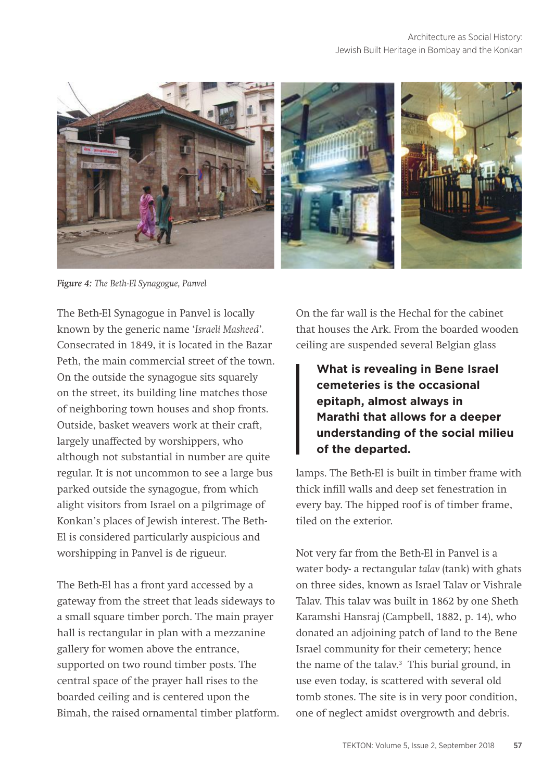

*Figure 4: The Beth-El Synagogue, Panvel*

The Beth-El Synagogue in Panvel is locally known by the generic name '*Israeli Masheed*'. Consecrated in 1849, it is located in the Bazar Peth, the main commercial street of the town. On the outside the synagogue sits squarely on the street, its building line matches those of neighboring town houses and shop fronts. Outside, basket weavers work at their craft, largely unaffected by worshippers, who although not substantial in number are quite regular. It is not uncommon to see a large bus parked outside the synagogue, from which alight visitors from Israel on a pilgrimage of Konkan's places of Jewish interest. The Beth-El is considered particularly auspicious and worshipping in Panvel is de rigueur.

The Beth-El has a front yard accessed by a gateway from the street that leads sideways to a small square timber porch. The main prayer hall is rectangular in plan with a mezzanine gallery for women above the entrance, supported on two round timber posts. The central space of the prayer hall rises to the boarded ceiling and is centered upon the Bimah, the raised ornamental timber platform. On the far wall is the Hechal for the cabinet that houses the Ark. From the boarded wooden ceiling are suspended several Belgian glass

**What is revealing in Bene Israel cemeteries is the occasional epitaph, almost always in Marathi that allows for a deeper understanding of the social milieu of the departed.** 

lamps. The Beth-El is built in timber frame with thick infill walls and deep set fenestration in every bay. The hipped roof is of timber frame, tiled on the exterior.

Not very far from the Beth-El in Panvel is a water body- a rectangular *talav* (tank) with ghats on three sides, known as Israel Talav or Vishrale Talav. This talav was built in 1862 by one Sheth Karamshi Hansraj (Campbell, 1882, p. 14), who donated an adjoining patch of land to the Bene Israel community for their cemetery; hence the name of the talav.<sup>3</sup> This burial ground, in use even today, is scattered with several old tomb stones. The site is in very poor condition, one of neglect amidst overgrowth and debris.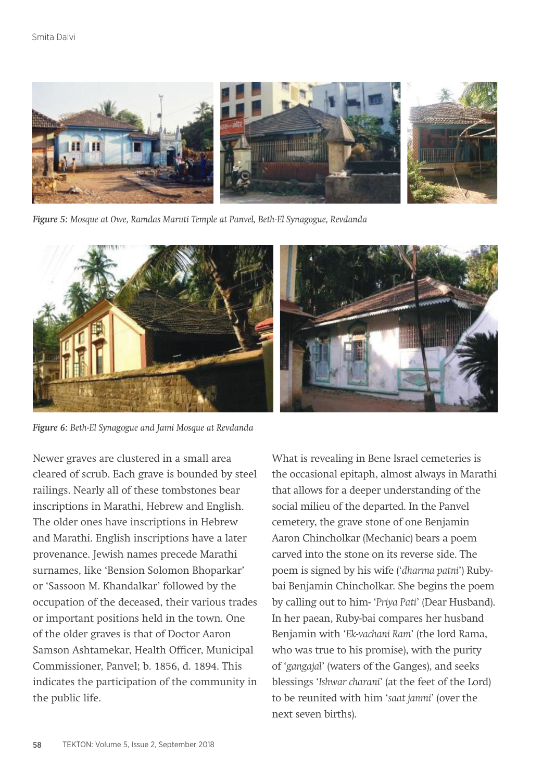

*Figure 5: Mosque at Owe, Ramdas Maruti Temple at Panvel, Beth-El Synagogue, Revdanda*



*Figure 6: Beth-El Synagogue and Jami Mosque at Revdanda*

Newer graves are clustered in a small area cleared of scrub. Each grave is bounded by steel railings. Nearly all of these tombstones bear inscriptions in Marathi, Hebrew and English. The older ones have inscriptions in Hebrew and Marathi. English inscriptions have a later provenance. Jewish names precede Marathi surnames, like 'Bension Solomon Bhoparkar' or 'Sassoon M. Khandalkar' followed by the occupation of the deceased, their various trades or important positions held in the town. One of the older graves is that of Doctor Aaron Samson Ashtamekar, Health Officer, Municipal Commissioner, Panvel; b. 1856, d. 1894. This indicates the participation of the community in the public life.

What is revealing in Bene Israel cemeteries is the occasional epitaph, almost always in Marathi that allows for a deeper understanding of the social milieu of the departed. In the Panvel cemetery, the grave stone of one Benjamin Aaron Chincholkar (Mechanic) bears a poem carved into the stone on its reverse side. The poem is signed by his wife ('*dharma patni*') Rubybai Benjamin Chincholkar. She begins the poem by calling out to him- '*Priya Pati*' (Dear Husband). In her paean, Ruby-bai compares her husband Benjamin with '*Ek-vachani Ram*' (the lord Rama, who was true to his promise), with the purity of '*gangajal*' (waters of the Ganges), and seeks blessings '*Ishwar charani*' (at the feet of the Lord) to be reunited with him '*saat janmi*' (over the next seven births).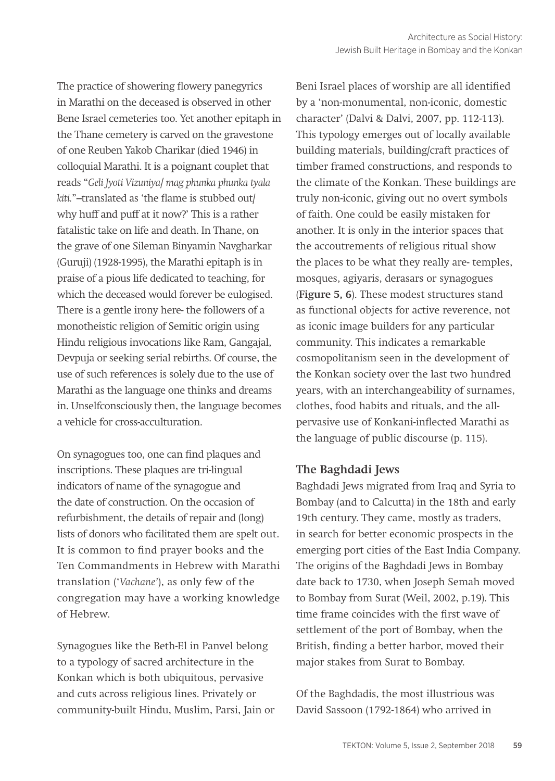The practice of showering flowery panegyrics in Marathi on the deceased is observed in other Bene Israel cemeteries too. Yet another epitaph in the Thane cemetery is carved on the gravestone of one Reuben Yakob Charikar (died 1946) in colloquial Marathi. It is a poignant couplet that reads "*Geli Jyoti Vizuniya/ mag phunka phunka tyala kiti.*"–translated as 'the flame is stubbed out/ why huff and puff at it now?' This is a rather fatalistic take on life and death. In Thane, on the grave of one Sileman Binyamin Navgharkar (Guruji) (1928-1995), the Marathi epitaph is in praise of a pious life dedicated to teaching, for which the deceased would forever be eulogised. There is a gentle irony here- the followers of a monotheistic religion of Semitic origin using Hindu religious invocations like Ram, Gangajal, Devpuja or seeking serial rebirths. Of course, the use of such references is solely due to the use of Marathi as the language one thinks and dreams in. Unselfconsciously then, the language becomes a vehicle for cross-acculturation.

On synagogues too, one can find plaques and inscriptions. These plaques are tri-lingual indicators of name of the synagogue and the date of construction. On the occasion of refurbishment, the details of repair and (long) lists of donors who facilitated them are spelt out. It is common to find prayer books and the Ten Commandments in Hebrew with Marathi translation ('*Vachane'*), as only few of the congregation may have a working knowledge of Hebrew.

Synagogues like the Beth-El in Panvel belong to a typology of sacred architecture in the Konkan which is both ubiquitous, pervasive and cuts across religious lines. Privately or community-built Hindu, Muslim, Parsi, Jain or

Beni Israel places of worship are all identified by a 'non-monumental, non-iconic, domestic character' (Dalvi & Dalvi, 2007, pp. 112-113). This typology emerges out of locally available building materials, building/craft practices of timber framed constructions, and responds to the climate of the Konkan. These buildings are truly non-iconic, giving out no overt symbols of faith. One could be easily mistaken for another. It is only in the interior spaces that the accoutrements of religious ritual show the places to be what they really are- temples, mosques, agiyaris, derasars or synagogues (**Figure 5, 6**). These modest structures stand as functional objects for active reverence, not as iconic image builders for any particular community. This indicates a remarkable cosmopolitanism seen in the development of the Konkan society over the last two hundred years, with an interchangeability of surnames, clothes, food habits and rituals, and the allpervasive use of Konkani-inflected Marathi as the language of public discourse (p. 115).

# **The Baghdadi Jews**

Baghdadi Jews migrated from Iraq and Syria to Bombay (and to Calcutta) in the 18th and early 19th century. They came, mostly as traders, in search for better economic prospects in the emerging port cities of the East India Company. The origins of the Baghdadi Jews in Bombay date back to 1730, when Joseph Semah moved to Bombay from Surat (Weil, 2002, p.19). This time frame coincides with the first wave of settlement of the port of Bombay, when the British, finding a better harbor, moved their major stakes from Surat to Bombay.

Of the Baghdadis, the most illustrious was David Sassoon (1792-1864) who arrived in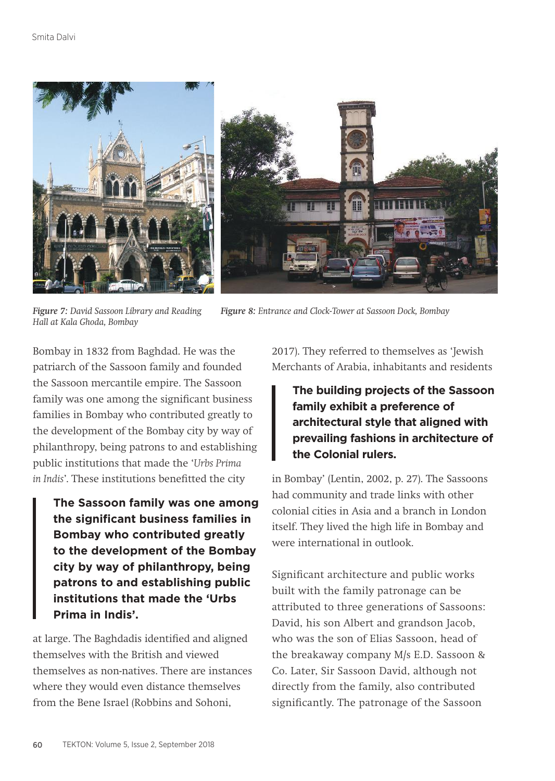

*Figure 7: David Sassoon Library and Reading Hall at Kala Ghoda, Bombay*

*Figure 8: Entrance and Clock-Tower at Sassoon Dock, Bombay*

Bombay in 1832 from Baghdad. He was the patriarch of the Sassoon family and founded the Sassoon mercantile empire. The Sassoon family was one among the significant business families in Bombay who contributed greatly to the development of the Bombay city by way of philanthropy, being patrons to and establishing public institutions that made the '*Urbs Prima in Indis*'. These institutions benefitted the city

**The Sassoon family was one among the significant business families in Bombay who contributed greatly to the development of the Bombay city by way of philanthropy, being patrons to and establishing public institutions that made the 'Urbs Prima in Indis'.**

at large. The Baghdadis identified and aligned themselves with the British and viewed themselves as non-natives. There are instances where they would even distance themselves from the Bene Israel (Robbins and Sohoni,

2017). They referred to themselves as 'Jewish Merchants of Arabia, inhabitants and residents

**The building projects of the Sassoon family exhibit a preference of architectural style that aligned with prevailing fashions in architecture of the Colonial rulers.**

in Bombay' (Lentin, 2002, p. 27). The Sassoons had community and trade links with other colonial cities in Asia and a branch in London itself. They lived the high life in Bombay and were international in outlook.

Significant architecture and public works built with the family patronage can be attributed to three generations of Sassoons: David, his son Albert and grandson Jacob, who was the son of Elias Sassoon, head of the breakaway company M/s E.D. Sassoon & Co. Later, Sir Sassoon David, although not directly from the family, also contributed significantly. The patronage of the Sassoon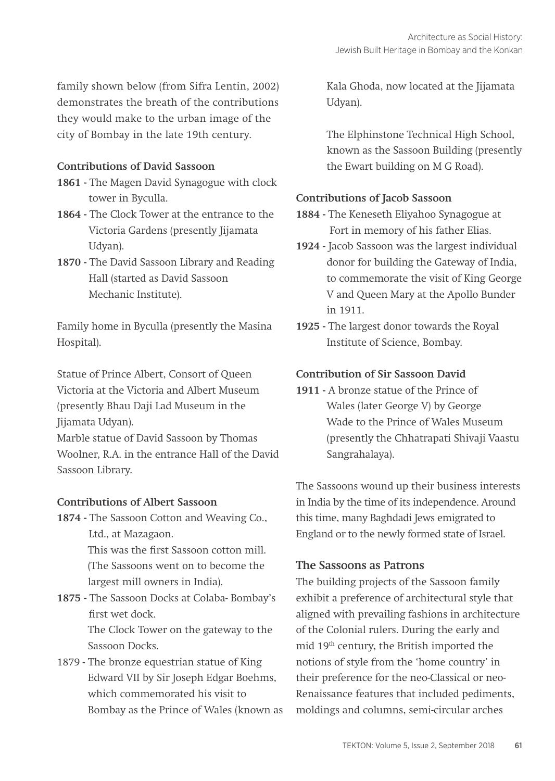family shown below (from Sifra Lentin, 2002) demonstrates the breath of the contributions they would make to the urban image of the city of Bombay in the late 19th century.

#### **Contributions of David Sassoon**

- **1861** The Magen David Synagogue with clock tower in Byculla.
- **1864** The Clock Tower at the entrance to the Victoria Gardens (presently Jijamata Udyan).
- **1870 -** The David Sassoon Library and Reading Hall (started as David Sassoon Mechanic Institute).

Family home in Byculla (presently the Masina Hospital).

Statue of Prince Albert, Consort of Queen Victoria at the Victoria and Albert Museum (presently Bhau Daji Lad Museum in the Jijamata Udyan).

Marble statue of David Sassoon by Thomas Woolner, R.A. in the entrance Hall of the David Sassoon Library.

#### **Contributions of Albert Sassoon**

**1874 -** The Sassoon Cotton and Weaving Co., Ltd., at Mazagaon. This was the first Sassoon cotton mill. (The Sassoons went on to become the largest mill owners in India).

**1875 -** The Sassoon Docks at Colaba- Bombay's first wet dock.

> The Clock Tower on the gateway to the Sassoon Docks.

1879 - The bronze equestrian statue of King Edward VII by Sir Joseph Edgar Boehms, which commemorated his visit to Bombay as the Prince of Wales (known as Kala Ghoda, now located at the Jijamata Udyan).

The Elphinstone Technical High School, known as the Sassoon Building (presently the Ewart building on M G Road).

## **Contributions of Jacob Sassoon**

- **1884** The Keneseth Eliyahoo Synagogue at Fort in memory of his father Elias.
- **1924** Jacob Sassoon was the largest individual donor for building the Gateway of India, to commemorate the visit of King George V and Queen Mary at the Apollo Bunder in 1911.
- **1925** The largest donor towards the Royal Institute of Science, Bombay.

# **Contribution of Sir Sassoon David**

**1911 -** A bronze statue of the Prince of Wales (later George V) by George Wade to the Prince of Wales Museum (presently the Chhatrapati Shivaji Vaastu Sangrahalaya).

The Sassoons wound up their business interests in India by the time of its independence. Around this time, many Baghdadi Jews emigrated to England or to the newly formed state of Israel.

# **The Sassoons as Patrons**

The building projects of the Sassoon family exhibit a preference of architectural style that aligned with prevailing fashions in architecture of the Colonial rulers. During the early and mid 19th century, the British imported the notions of style from the 'home country' in their preference for the neo-Classical or neo-Renaissance features that included pediments, moldings and columns, semi-circular arches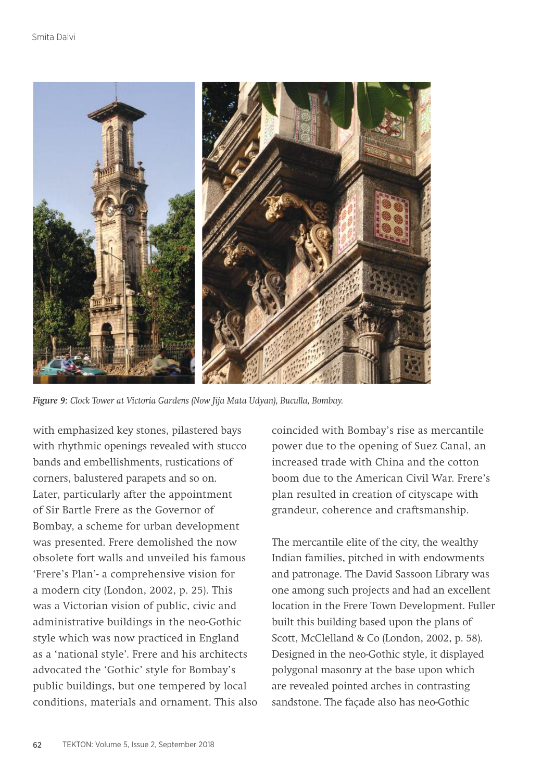

*Figure 9: Clock Tower at Victoria Gardens (Now Jija Mata Udyan), Buculla, Bombay.*

with emphasized key stones, pilastered bays with rhythmic openings revealed with stucco bands and embellishments, rustications of corners, balustered parapets and so on. Later, particularly after the appointment of Sir Bartle Frere as the Governor of Bombay, a scheme for urban development was presented. Frere demolished the now obsolete fort walls and unveiled his famous 'Frere's Plan'- a comprehensive vision for a modern city (London, 2002, p. 25). This was a Victorian vision of public, civic and administrative buildings in the neo-Gothic style which was now practiced in England as a 'national style'. Frere and his architects advocated the 'Gothic' style for Bombay's public buildings, but one tempered by local conditions, materials and ornament. This also coincided with Bombay's rise as mercantile power due to the opening of Suez Canal, an increased trade with China and the cotton boom due to the American Civil War. Frere's plan resulted in creation of cityscape with grandeur, coherence and craftsmanship.

The mercantile elite of the city, the wealthy Indian families, pitched in with endowments and patronage. The David Sassoon Library was one among such projects and had an excellent location in the Frere Town Development. Fuller built this building based upon the plans of Scott, McClelland & Co (London, 2002, p. 58). Designed in the neo-Gothic style, it displayed polygonal masonry at the base upon which are revealed pointed arches in contrasting sandstone. The façade also has neo-Gothic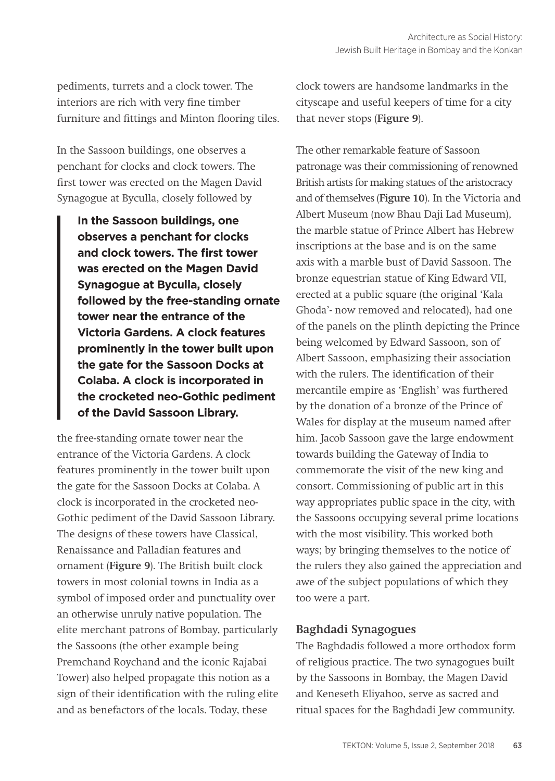pediments, turrets and a clock tower. The interiors are rich with very fine timber furniture and fittings and Minton flooring tiles.

In the Sassoon buildings, one observes a penchant for clocks and clock towers. The first tower was erected on the Magen David Synagogue at Byculla, closely followed by

**In the Sassoon buildings, one observes a penchant for clocks and clock towers. The first tower was erected on the Magen David Synagogue at Byculla, closely followed by the free-standing ornate tower near the entrance of the Victoria Gardens. A clock features prominently in the tower built upon the gate for the Sassoon Docks at Colaba. A clock is incorporated in the crocketed neo-Gothic pediment of the David Sassoon Library.** 

the free-standing ornate tower near the entrance of the Victoria Gardens. A clock features prominently in the tower built upon the gate for the Sassoon Docks at Colaba. A clock is incorporated in the crocketed neo-Gothic pediment of the David Sassoon Library. The designs of these towers have Classical, Renaissance and Palladian features and ornament (**Figure 9**). The British built clock towers in most colonial towns in India as a symbol of imposed order and punctuality over an otherwise unruly native population. The elite merchant patrons of Bombay, particularly the Sassoons (the other example being Premchand Roychand and the iconic Rajabai Tower) also helped propagate this notion as a sign of their identification with the ruling elite and as benefactors of the locals. Today, these

clock towers are handsome landmarks in the cityscape and useful keepers of time for a city that never stops (**Figure 9**).

The other remarkable feature of Sassoon patronage was their commissioning of renowned British artists for making statues of the aristocracy and of themselves (**Figure 10**). In the Victoria and Albert Museum (now Bhau Daji Lad Museum), the marble statue of Prince Albert has Hebrew inscriptions at the base and is on the same axis with a marble bust of David Sassoon. The bronze equestrian statue of King Edward VII, erected at a public square (the original 'Kala Ghoda'- now removed and relocated), had one of the panels on the plinth depicting the Prince being welcomed by Edward Sassoon, son of Albert Sassoon, emphasizing their association with the rulers. The identification of their mercantile empire as 'English' was furthered by the donation of a bronze of the Prince of Wales for display at the museum named after him. Jacob Sassoon gave the large endowment towards building the Gateway of India to commemorate the visit of the new king and consort. Commissioning of public art in this way appropriates public space in the city, with the Sassoons occupying several prime locations with the most visibility. This worked both ways; by bringing themselves to the notice of the rulers they also gained the appreciation and awe of the subject populations of which they too were a part.

# **Baghdadi Synagogues**

The Baghdadis followed a more orthodox form of religious practice. The two synagogues built by the Sassoons in Bombay, the Magen David and Keneseth Eliyahoo, serve as sacred and ritual spaces for the Baghdadi Jew community.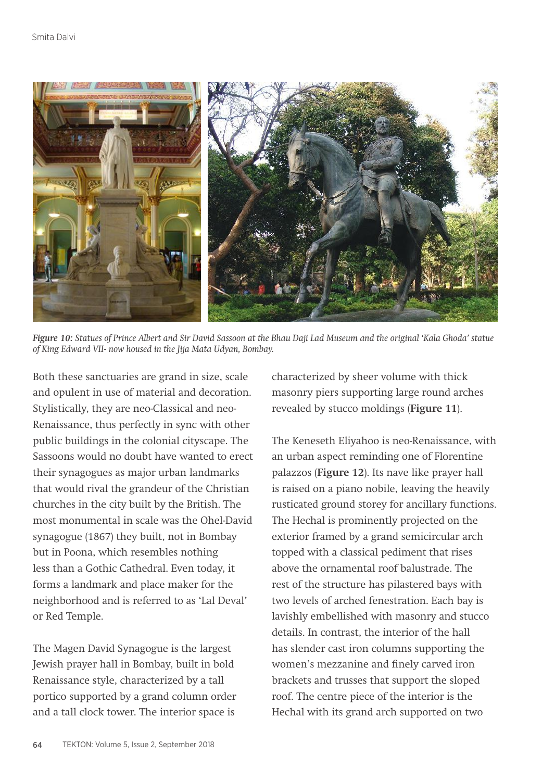

*Figure 10: Statues of Prince Albert and Sir David Sassoon at the Bhau Daji Lad Museum and the original 'Kala Ghoda' statue of King Edward VII- now housed in the Jija Mata Udyan, Bombay.*

Both these sanctuaries are grand in size, scale and opulent in use of material and decoration. Stylistically, they are neo-Classical and neo-Renaissance, thus perfectly in sync with other public buildings in the colonial cityscape. The Sassoons would no doubt have wanted to erect their synagogues as major urban landmarks that would rival the grandeur of the Christian churches in the city built by the British. The most monumental in scale was the Ohel-David synagogue (1867) they built, not in Bombay but in Poona, which resembles nothing less than a Gothic Cathedral. Even today, it forms a landmark and place maker for the neighborhood and is referred to as 'Lal Deval' or Red Temple.

The Magen David Synagogue is the largest Jewish prayer hall in Bombay, built in bold Renaissance style, characterized by a tall portico supported by a grand column order and a tall clock tower. The interior space is

characterized by sheer volume with thick masonry piers supporting large round arches revealed by stucco moldings (**Figure 11**).

The Keneseth Eliyahoo is neo-Renaissance, with an urban aspect reminding one of Florentine palazzos (**Figure 12**). Its nave like prayer hall is raised on a piano nobile, leaving the heavily rusticated ground storey for ancillary functions. The Hechal is prominently projected on the exterior framed by a grand semicircular arch topped with a classical pediment that rises above the ornamental roof balustrade. The rest of the structure has pilastered bays with two levels of arched fenestration. Each bay is lavishly embellished with masonry and stucco details. In contrast, the interior of the hall has slender cast iron columns supporting the women's mezzanine and finely carved iron brackets and trusses that support the sloped roof. The centre piece of the interior is the Hechal with its grand arch supported on two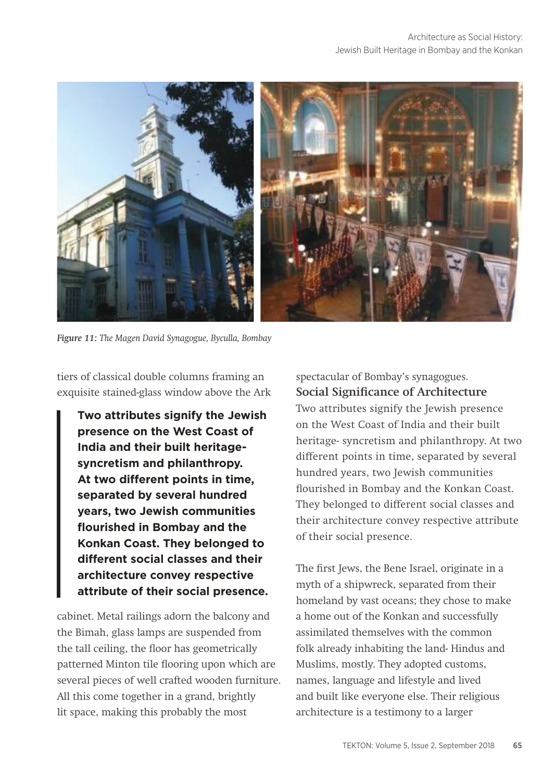

*Figure 11: The Magen David Synagogue, Byculla, Bombay*

tiers of classical double columns framing an exquisite stained-glass window above the Ark

**Two attributes signify the Jewish presence on the West Coast of India and their built heritagesyncretism and philanthropy. At two different points in time, separated by several hundred years, two Jewish communities flourished in Bombay and the Konkan Coast. They belonged to different social classes and their architecture convey respective attribute of their social presence.**

cabinet. Metal railings adorn the balcony and the Bimah, glass lamps are suspended from the tall ceiling, the floor has geometrically patterned Minton tile flooring upon which are several pieces of well crafted wooden furniture. All this come together in a grand, brightly lit space, making this probably the most

spectacular of Bombay's synagogues. **Social Significance of Architecture** Two attributes signify the Jewish presence on the West Coast of India and their built heritage- syncretism and philanthropy. At two different points in time, separated by several hundred years, two Jewish communities flourished in Bombay and the Konkan Coast. They belonged to different social classes and their architecture convey respective attribute of their social presence.

The first Jews, the Bene Israel, originate in a myth of a shipwreck, separated from their homeland by vast oceans; they chose to make a home out of the Konkan and successfully assimilated themselves with the common folk already inhabiting the land- Hindus and Muslims, mostly. They adopted customs, names, language and lifestyle and lived and built like everyone else. Their religious architecture is a testimony to a larger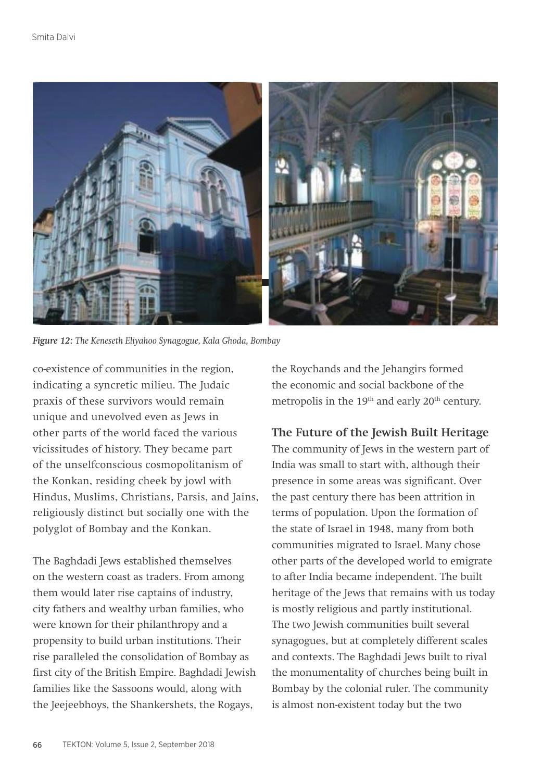

*Figure 12: The Keneseth Eliyahoo Synagogue, Kala Ghoda, Bombay*

co-existence of communities in the region, indicating a syncretic milieu. The Judaic praxis of these survivors would remain unique and unevolved even as Jews in other parts of the world faced the various vicissitudes of history. They became part of the unselfconscious cosmopolitanism of the Konkan, residing cheek by jowl with Hindus, Muslims, Christians, Parsis, and Jains, religiously distinct but socially one with the polyglot of Bombay and the Konkan.

The Baghdadi Jews established themselves on the western coast as traders. From among them would later rise captains of industry, city fathers and wealthy urban families, who were known for their philanthropy and a propensity to build urban institutions. Their rise paralleled the consolidation of Bombay as first city of the British Empire. Baghdadi Jewish families like the Sassoons would, along with the Jeejeebhoys, the Shankershets, the Rogays,

the Roychands and the Jehangirs formed the economic and social backbone of the metropolis in the 19<sup>th</sup> and early 20<sup>th</sup> century.

# **The Future of the Jewish Built Heritage**

The community of Jews in the western part of India was small to start with, although their presence in some areas was significant. Over the past century there has been attrition in terms of population. Upon the formation of the state of Israel in 1948, many from both communities migrated to Israel. Many chose other parts of the developed world to emigrate to after India became independent. The built heritage of the Jews that remains with us today is mostly religious and partly institutional. The two Jewish communities built several synagogues, but at completely different scales and contexts. The Baghdadi Jews built to rival the monumentality of churches being built in Bombay by the colonial ruler. The community is almost non-existent today but the two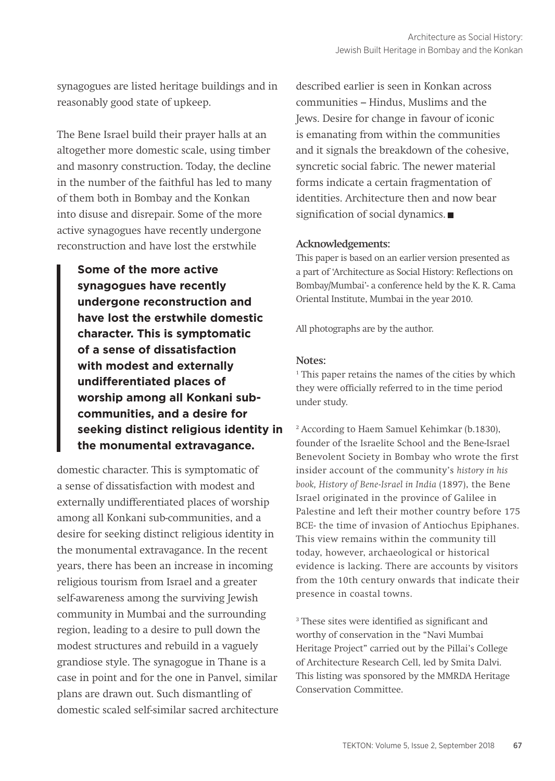synagogues are listed heritage buildings and in reasonably good state of upkeep.

The Bene Israel build their prayer halls at an altogether more domestic scale, using timber and masonry construction. Today, the decline in the number of the faithful has led to many of them both in Bombay and the Konkan into disuse and disrepair. Some of the more active synagogues have recently undergone reconstruction and have lost the erstwhile

**Some of the more active synagogues have recently undergone reconstruction and have lost the erstwhile domestic character. This is symptomatic of a sense of dissatisfaction with modest and externally undifferentiated places of worship among all Konkani subcommunities, and a desire for seeking distinct religious identity in the monumental extravagance.**

domestic character. This is symptomatic of a sense of dissatisfaction with modest and externally undifferentiated places of worship among all Konkani sub-communities, and a desire for seeking distinct religious identity in the monumental extravagance. In the recent years, there has been an increase in incoming religious tourism from Israel and a greater self-awareness among the surviving Jewish community in Mumbai and the surrounding region, leading to a desire to pull down the modest structures and rebuild in a vaguely grandiose style. The synagogue in Thane is a case in point and for the one in Panvel, similar plans are drawn out. Such dismantling of domestic scaled self-similar sacred architecture described earlier is seen in Konkan across communities – Hindus, Muslims and the Jews. Desire for change in favour of iconic is emanating from within the communities and it signals the breakdown of the cohesive, syncretic social fabric. The newer material forms indicate a certain fragmentation of identities. Architecture then and now bear signification of social dynamics.

#### **Acknowledgements:**

This paper is based on an earlier version presented as a part of 'Architecture as Social History: Reflections on Bombay/Mumbai'- a conference held by the K. R. Cama Oriental Institute, Mumbai in the year 2010.

All photographs are by the author.

#### **Notes:**

<sup>1</sup> This paper retains the names of the cities by which they were officially referred to in the time period under study.

2 According to Haem Samuel Kehimkar (b.1830), founder of the Israelite School and the Bene-Israel Benevolent Society in Bombay who wrote the first insider account of the community's *history in his book, History of Bene-Israel in India* (1897), the Bene Israel originated in the province of Galilee in Palestine and left their mother country before 175 BCE- the time of invasion of Antiochus Epiphanes. This view remains within the community till today, however, archaeological or historical evidence is lacking. There are accounts by visitors from the 10th century onwards that indicate their presence in coastal towns.

3 These sites were identified as significant and worthy of conservation in the "Navi Mumbai Heritage Project" carried out by the Pillai's College of Architecture Research Cell, led by Smita Dalvi. This listing was sponsored by the MMRDA Heritage Conservation Committee.